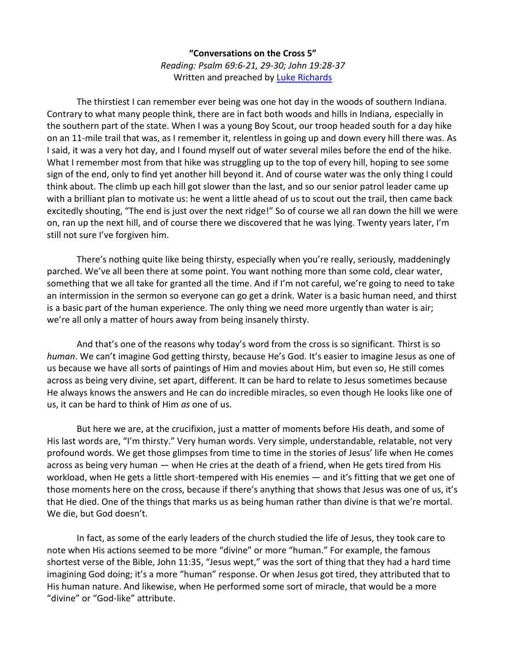**"Conversations on the Cross 5"** *Reading: Psalm 69:6-21, 29-30; John 19:28-37* Written and preached by [Luke Richards](http://www.lukerichards.blogspot.com/)

The thirstiest I can remember ever being was one hot day in the woods of southern Indiana. Contrary to what many people think, there are in fact both woods and hills in Indiana, especially in the southern part of the state. When I was a young Boy Scout, our troop headed south for a day hike on an 11-mile trail that was, as I remember it, relentless in going up and down every hill there was. As I said, it was a very hot day, and I found myself out of water several miles before the end of the hike. What I remember most from that hike was struggling up to the top of every hill, hoping to see some sign of the end, only to find yet another hill beyond it. And of course water was the only thing I could think about. The climb up each hill got slower than the last, and so our senior patrol leader came up with a brilliant plan to motivate us: he went a little ahead of us to scout out the trail, then came back excitedly shouting, "The end is just over the next ridge!" So of course we all ran down the hill we were on, ran up the next hill, and of course there we discovered that he was lying. Twenty years later, I'm still not sure I've forgiven him.

There's nothing quite like being thirsty, especially when you're really, seriously, maddeningly parched. We've all been there at some point. You want nothing more than some cold, clear water, something that we all take for granted all the time. And if I'm not careful, we're going to need to take an intermission in the sermon so everyone can go get a drink. Water is a basic human need, and thirst is a basic part of the human experience. The only thing we need more urgently than water is air; we're all only a matter of hours away from being insanely thirsty.

And that's one of the reasons why today's word from the cross is so significant. Thirst is so *human*. We can't imagine God getting thirsty, because He's God. It's easier to imagine Jesus as one of us because we have all sorts of paintings of Him and movies about Him, but even so, He still comes across as being very divine, set apart, different. It can be hard to relate to Jesus sometimes because He always knows the answers and He can do incredible miracles, so even though He looks like one of us, it can be hard to think of Him *as* one of us.

But here we are, at the crucifixion, just a matter of moments before His death, and some of His last words are, "I'm thirsty." Very human words. Very simple, understandable, relatable, not very profound words. We get those glimpses from time to time in the stories of Jesus' life when He comes across as being very human — when He cries at the death of a friend, when He gets tired from His workload, when He gets a little short-tempered with His enemies — and it's fitting that we get one of those moments here on the cross, because if there's anything that shows that Jesus was one of us, it's that He died. One of the things that marks us as being human rather than divine is that we're mortal. We die, but God doesn't.

In fact, as some of the early leaders of the church studied the life of Jesus, they took care to note when His actions seemed to be more "divine" or more "human." For example, the famous shortest verse of the Bible, John 11:35, "Jesus wept," was the sort of thing that they had a hard time imagining God doing; it's a more "human" response. Or when Jesus got tired, they attributed that to His human nature. And likewise, when He performed some sort of miracle, that would be a more "divine" or "God-like" attribute.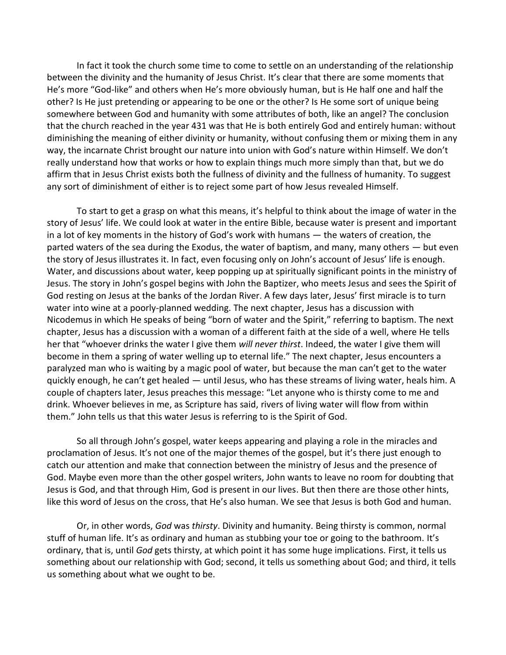In fact it took the church some time to come to settle on an understanding of the relationship between the divinity and the humanity of Jesus Christ. It's clear that there are some moments that He's more "God-like" and others when He's more obviously human, but is He half one and half the other? Is He just pretending or appearing to be one or the other? Is He some sort of unique being somewhere between God and humanity with some attributes of both, like an angel? The conclusion that the church reached in the year 431 was that He is both entirely God and entirely human: without diminishing the meaning of either divinity or humanity, without confusing them or mixing them in any way, the incarnate Christ brought our nature into union with God's nature within Himself. We don't really understand how that works or how to explain things much more simply than that, but we do affirm that in Jesus Christ exists both the fullness of divinity and the fullness of humanity. To suggest any sort of diminishment of either is to reject some part of how Jesus revealed Himself.

To start to get a grasp on what this means, it's helpful to think about the image of water in the story of Jesus' life. We could look at water in the entire Bible, because water is present and important in a lot of key moments in the history of God's work with humans — the waters of creation, the parted waters of the sea during the Exodus, the water of baptism, and many, many others — but even the story of Jesus illustrates it. In fact, even focusing only on John's account of Jesus' life is enough. Water, and discussions about water, keep popping up at spiritually significant points in the ministry of Jesus. The story in John's gospel begins with John the Baptizer, who meets Jesus and sees the Spirit of God resting on Jesus at the banks of the Jordan River. A few days later, Jesus' first miracle is to turn water into wine at a poorly-planned wedding. The next chapter, Jesus has a discussion with Nicodemus in which He speaks of being "born of water and the Spirit," referring to baptism. The next chapter, Jesus has a discussion with a woman of a different faith at the side of a well, where He tells her that "whoever drinks the water I give them *will never thirst*. Indeed, the water I give them will become in them a spring of water welling up to eternal life." The next chapter, Jesus encounters a paralyzed man who is waiting by a magic pool of water, but because the man can't get to the water quickly enough, he can't get healed — until Jesus, who has these streams of living water, heals him. A couple of chapters later, Jesus preaches this message: "Let anyone who is thirsty come to me and drink. Whoever believes in me, as Scripture has said, rivers of living water will flow from within them." John tells us that this water Jesus is referring to is the Spirit of God.

So all through John's gospel, water keeps appearing and playing a role in the miracles and proclamation of Jesus. It's not one of the major themes of the gospel, but it's there just enough to catch our attention and make that connection between the ministry of Jesus and the presence of God. Maybe even more than the other gospel writers, John wants to leave no room for doubting that Jesus is God, and that through Him, God is present in our lives. But then there are those other hints, like this word of Jesus on the cross, that He's also human. We see that Jesus is both God and human.

Or, in other words, *God* was *thirsty*. Divinity and humanity. Being thirsty is common, normal stuff of human life. It's as ordinary and human as stubbing your toe or going to the bathroom. It's ordinary, that is, until *God* gets thirsty, at which point it has some huge implications. First, it tells us something about our relationship with God; second, it tells us something about God; and third, it tells us something about what we ought to be.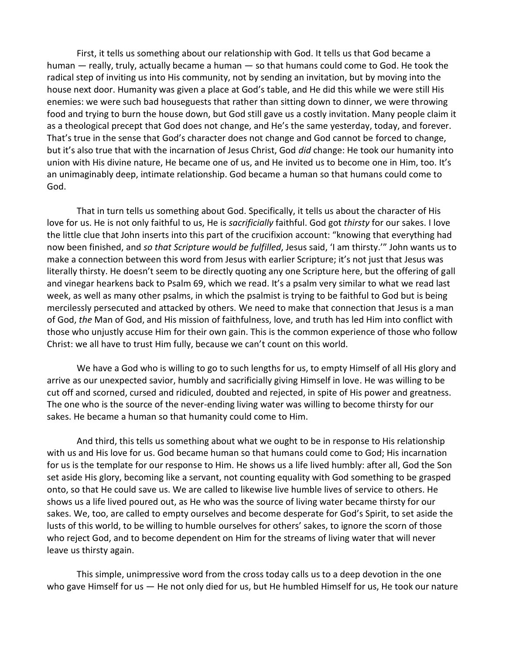First, it tells us something about our relationship with God. It tells us that God became a human — really, truly, actually became a human — so that humans could come to God. He took the radical step of inviting us into His community, not by sending an invitation, but by moving into the house next door. Humanity was given a place at God's table, and He did this while we were still His enemies: we were such bad houseguests that rather than sitting down to dinner, we were throwing food and trying to burn the house down, but God still gave us a costly invitation. Many people claim it as a theological precept that God does not change, and He's the same yesterday, today, and forever. That's true in the sense that God's character does not change and God cannot be forced to change, but it's also true that with the incarnation of Jesus Christ, God *did* change: He took our humanity into union with His divine nature, He became one of us, and He invited us to become one in Him, too. It's an unimaginably deep, intimate relationship. God became a human so that humans could come to God.

That in turn tells us something about God. Specifically, it tells us about the character of His love for us. He is not only faithful to us, He is *sacrificially* faithful. God got *thirsty* for our sakes. I love the little clue that John inserts into this part of the crucifixion account: "knowing that everything had now been finished, and *so that Scripture would be fulfilled*, Jesus said, 'I am thirsty.'" John wants us to make a connection between this word from Jesus with earlier Scripture; it's not just that Jesus was literally thirsty. He doesn't seem to be directly quoting any one Scripture here, but the offering of gall and vinegar hearkens back to Psalm 69, which we read. It's a psalm very similar to what we read last week, as well as many other psalms, in which the psalmist is trying to be faithful to God but is being mercilessly persecuted and attacked by others. We need to make that connection that Jesus is a man of God, *the* Man of God, and His mission of faithfulness, love, and truth has led Him into conflict with those who unjustly accuse Him for their own gain. This is the common experience of those who follow Christ: we all have to trust Him fully, because we can't count on this world.

We have a God who is willing to go to such lengths for us, to empty Himself of all His glory and arrive as our unexpected savior, humbly and sacrificially giving Himself in love. He was willing to be cut off and scorned, cursed and ridiculed, doubted and rejected, in spite of His power and greatness. The one who is the source of the never-ending living water was willing to become thirsty for our sakes. He became a human so that humanity could come to Him.

And third, this tells us something about what we ought to be in response to His relationship with us and His love for us. God became human so that humans could come to God; His incarnation for us is the template for our response to Him. He shows us a life lived humbly: after all, God the Son set aside His glory, becoming like a servant, not counting equality with God something to be grasped onto, so that He could save us. We are called to likewise live humble lives of service to others. He shows us a life lived poured out, as He who was the source of living water became thirsty for our sakes. We, too, are called to empty ourselves and become desperate for God's Spirit, to set aside the lusts of this world, to be willing to humble ourselves for others' sakes, to ignore the scorn of those who reject God, and to become dependent on Him for the streams of living water that will never leave us thirsty again.

This simple, unimpressive word from the cross today calls us to a deep devotion in the one who gave Himself for us — He not only died for us, but He humbled Himself for us, He took our nature